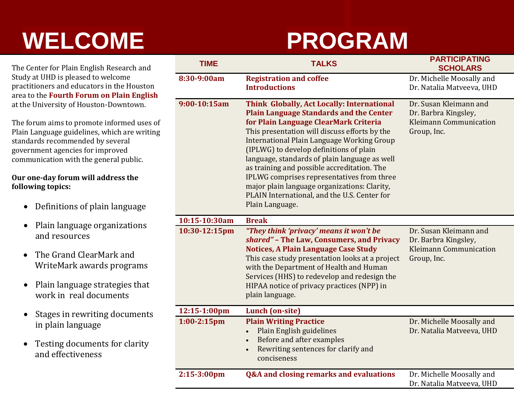## **WELCOME PROGRAM**

The Center for Plain English Research and Study at UHD is pleased to welcome practitioners and educators in the Houston area to the **Fourth Forum on Plain English** at the University of Houston-Downtown.

The forum aims to promote informed uses of Plain Language guidelines, which are writing standards recommended by several government agencies for improved communication with the general public.

### **Our one-day forum will address the following topics:**

- Definitions of plain language
- Plain language organizations and resources
- The Grand ClearMark and WriteMark awards programs
- Plain language strategies that work in real documents
- Stages in rewriting documents in plain language
- Testing documents for clarity and effectiveness

| <b>TIME</b>    | <b>TALKS</b>                                                                                                                                                                                                                                                                                                                                                                                                                                                                                                                                            | <b>PARTICIPATING</b><br><b>SCHOLARS</b>                                                        |
|----------------|---------------------------------------------------------------------------------------------------------------------------------------------------------------------------------------------------------------------------------------------------------------------------------------------------------------------------------------------------------------------------------------------------------------------------------------------------------------------------------------------------------------------------------------------------------|------------------------------------------------------------------------------------------------|
| 8:30-9:00am    | <b>Registration and coffee</b><br><b>Introductions</b>                                                                                                                                                                                                                                                                                                                                                                                                                                                                                                  | Dr. Michelle Moosally and<br>Dr. Natalia Matveeva, UHD                                         |
| 9:00-10:15am   | Think Globally, Act Locally: International<br><b>Plain Language Standards and the Center</b><br>for Plain Language ClearMark Criteria<br>This presentation will discuss efforts by the<br><b>International Plain Language Working Group</b><br>(IPLWG) to develop definitions of plain<br>language, standards of plain language as well<br>as training and possible accreditation. The<br>IPLWG comprises representatives from three<br>major plain language organizations: Clarity,<br>PLAIN International, and the U.S. Center for<br>Plain Language. | Dr. Susan Kleimann and<br>Dr. Barbra Kingsley,<br><b>Kleimann Communication</b><br>Group, Inc. |
| 10:15-10:30am  | <b>Break</b>                                                                                                                                                                                                                                                                                                                                                                                                                                                                                                                                            |                                                                                                |
| 10:30-12:15pm  | "They think 'privacy' means it won't be<br>shared" - The Law, Consumers, and Privacy<br><b>Notices, A Plain Language Case Study</b><br>This case study presentation looks at a project<br>with the Department of Health and Human<br>Services (HHS) to redevelop and redesign the<br>HIPAA notice of privacy practices (NPP) in<br>plain language.                                                                                                                                                                                                      | Dr. Susan Kleimann and<br>Dr. Barbra Kingsley,<br><b>Kleimann Communication</b><br>Group, Inc. |
| 12:15-1:00pm   | Lunch (on-site)                                                                                                                                                                                                                                                                                                                                                                                                                                                                                                                                         |                                                                                                |
| $1:00-2:15$ pm | <b>Plain Writing Practice</b><br>Plain English guidelines<br>$\bullet$<br>Before and after examples<br>Rewriting sentences for clarify and<br>$\bullet$<br>conciseness                                                                                                                                                                                                                                                                                                                                                                                  | Dr. Michelle Moosally and<br>Dr. Natalia Matveeva, UHD                                         |
| $2:15-3:00$ pm | <b>Q&amp;A and closing remarks and evaluations</b>                                                                                                                                                                                                                                                                                                                                                                                                                                                                                                      | Dr. Michelle Moosally and<br>Dr. Natalia Matyeeva. UHD                                         |